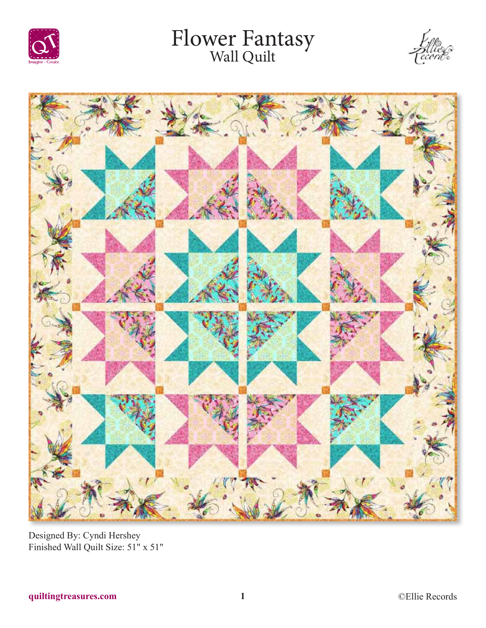

# Flower Fantasy<br>Wall Quilt





Designed By: Cyndi Hershey Finished Wall Quilt Size: 51" x 51"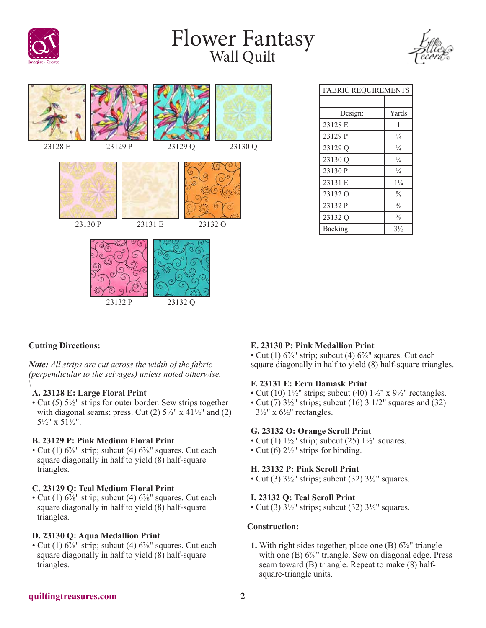

# Flower Fantasy<br>Wall Quilt





# FABRIC REQUIREMENTS Design: Yards 23128 E 1 23129 P  $\frac{1}{4}$ 23129 Q  $\frac{1}{4}$ 23130 Q  $\frac{1}{4}$ 23130 P  $\frac{1}{4}$ 23131 E 1¼  $23132 \text{ O}$   $\frac{5}{8}$ 23132 P  $\frac{3}{8}$ 23132 Q  $\frac{3}{8}$ Backing  $3\frac{1}{2}$

# **Cutting Directions:**

*Note: All strips are cut across the width of the fabric (perpendicular to the selvages) unless noted otherwise. \*

## **A. 23128 E: Large Floral Print**

• Cut (5) 5½" strips for outer border. Sew strips together with diagonal seams; press. Cut (2)  $5\frac{1}{2}$ " x  $41\frac{1}{2}$ " and (2) 5½" x 51½".

#### **B. 23129 P: Pink Medium Floral Print**

• Cut (1)  $6\frac{7}{8}$ " strip; subcut (4)  $6\frac{7}{8}$ " squares. Cut each square diagonally in half to yield (8) half-square triangles.

## **C. 23129 Q: Teal Medium Floral Print**

• Cut (1)  $6\frac{7}{8}$ " strip; subcut (4)  $6\frac{7}{8}$ " squares. Cut each square diagonally in half to yield (8) half-square triangles.

## **D. 23130 Q: Aqua Medallion Print**

• Cut (1)  $6\frac{7}{8}$ " strip; subcut (4)  $6\frac{7}{8}$ " squares. Cut each square diagonally in half to yield (8) half-square triangles.

## **E. 23130 P: Pink Medallion Print**

• Cut (1)  $6\frac{7}{8}$ " strip; subcut (4)  $6\frac{7}{8}$ " squares. Cut each square diagonally in half to yield (8) half-square triangles.

#### **F. 23131 E: Ecru Damask Print**

- Cut (10)  $1\frac{1}{2}$ " strips; subcut (40)  $1\frac{1}{2}$ " x  $9\frac{1}{2}$ " rectangles.
- Cut  $(7)$  3<sup>1</sup>/<sub>2</sub>" strips; subcut  $(16)$  3 1/2" squares and  $(32)$  $3\frac{1}{2}$ " x  $6\frac{1}{2}$ " rectangles.

#### **G. 23132 O: Orange Scroll Print**

- Cut (1)  $1\frac{1}{2}$ " strip; subcut (25)  $1\frac{1}{2}$ " squares.
- Cut (6)  $2\frac{1}{2}$ " strips for binding.

## **H. 23132 P: Pink Scroll Print**

• Cut (3)  $3\frac{1}{2}$ " strips; subcut (32)  $3\frac{1}{2}$ " squares.

## **I. 23132 Q: Teal Scroll Print**

• Cut (3)  $3\frac{1}{2}$ " strips; subcut (32)  $3\frac{1}{2}$ " squares.

#### **Construction:**

**1.** With right sides together, place one (B) 6⅞" triangle with one (E)  $6\frac{7}{8}$ " triangle. Sew on diagonal edge. Press seam toward (B) triangle. Repeat to make (8) halfsquare-triangle units.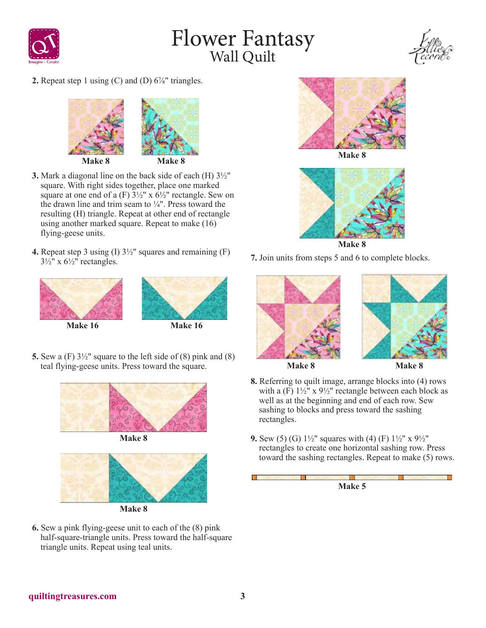

# Flower Fantasy<br>Wall Quilt



**2.** Repeat step 1 using  $(C)$  and  $(D)$  6<sup> $\frac{7}{8}$ </sup> triangles.



- **3.** Mark a diagonal line on the back side of each (H) 3½" square. With right sides together, place one marked square at one end of a (F)  $3\frac{1}{2}$ " x  $6\frac{1}{2}$ " rectangle. Sew on the drawn line and trim seam to  $\frac{1}{4}$ ". Press toward the resulting (H) triangle. Repeat at other end of rectangle using another marked square. Repeat to make (16) flying-geese units.
- **4.** Repeat step 3 using (I) 3½" squares and remaining (F)  $3\frac{1}{2}$ " x  $6\frac{1}{2}$ " rectangles.





**5.** Sew a (F) 3½" square to the left side of (8) pink and (8) teal flying-geese units. Press toward the square.







**Make 8**

**6.** Sew a pink flying-geese unit to each of the (8) pink half-square-triangle units. Press toward the half-square triangle units. Repeat using teal units.



**Make 8**



**Make 8**

**7.** Join units from steps 5 and 6 to complete blocks.





**Make 8 Make 8**

- **8.** Referring to quilt image, arrange blocks into (4) rows with a  $(F)$  1½" x 9½" rectangle between each block as well as at the beginning and end of each row. Sew sashing to blocks and press toward the sashing rectangles.
- **9.** Sew (5) (G) 1½" squares with (4) (F) 1½" x 9½" rectangles to create one horizontal sashing row. Press toward the sashing rectangles. Repeat to make (5) rows.